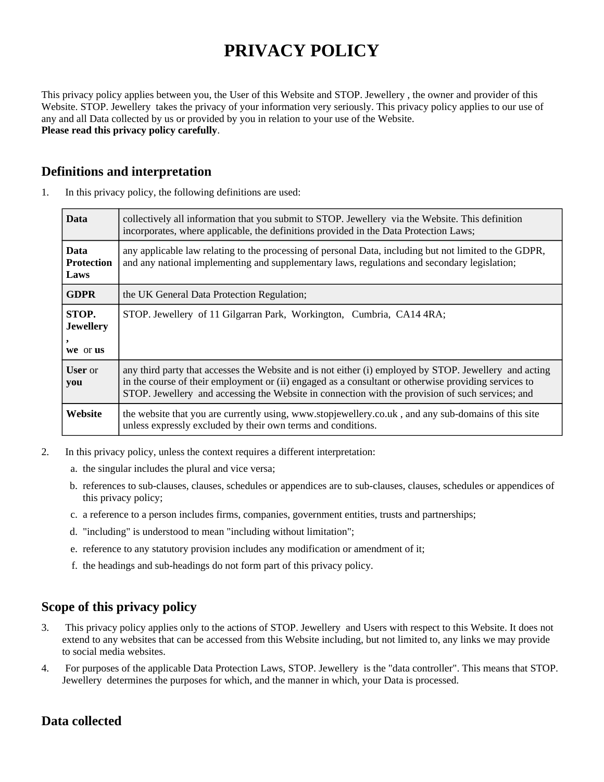# **PRIVACY POLICY**

This privacy policy applies between you, the User of this Website and STOP. Jewellery , the owner and provider of this Website. STOP. Jewellery takes the privacy of your information very seriously. This privacy policy applies to our use of any and all Data collected by us or provided by you in relation to your use of the Website. **Please read this privacy policy carefully**.

# **Definitions and interpretation**

| <b>Data</b>                              | collectively all information that you submit to STOP. Jewellery via the Website. This definition<br>incorporates, where applicable, the definitions provided in the Data Protection Laws;                                                                                                                          |
|------------------------------------------|--------------------------------------------------------------------------------------------------------------------------------------------------------------------------------------------------------------------------------------------------------------------------------------------------------------------|
| <b>Data</b><br><b>Protection</b><br>Laws | any applicable law relating to the processing of personal Data, including but not limited to the GDPR,<br>and any national implementing and supplementary laws, regulations and secondary legislation;                                                                                                             |
| <b>GDPR</b>                              | the UK General Data Protection Regulation;                                                                                                                                                                                                                                                                         |
| STOP.<br><b>Jewellery</b><br>we or us    | STOP. Jewellery of 11 Gilgarran Park, Workington, Cumbria, CA14 4RA;                                                                                                                                                                                                                                               |
| <b>User</b> or<br>you                    | any third party that accesses the Website and is not either (i) employed by STOP. Jewellery and acting<br>in the course of their employment or (ii) engaged as a consultant or otherwise providing services to<br>STOP. Jewellery and accessing the Website in connection with the provision of such services; and |
| Website                                  | the website that you are currently using, www.stopjewellery.co.uk, and any sub-domains of this site<br>unless expressly excluded by their own terms and conditions.                                                                                                                                                |

1. In this privacy policy, the following definitions are used:

- 2. In this privacy policy, unless the context requires a different interpretation:
	- a. the singular includes the plural and vice versa;
	- b. references to sub-clauses, clauses, schedules or appendices are to sub-clauses, clauses, schedules or appendices of this privacy policy;
	- c. a reference to a person includes firms, companies, government entities, trusts and partnerships;
	- d. "including" is understood to mean "including without limitation";
	- e. reference to any statutory provision includes any modification or amendment of it;
	- f. the headings and sub-headings do not form part of this privacy policy.

# **Scope of this privacy policy**

- 3. This privacy policy applies only to the actions of STOP. Jewellery and Users with respect to this Website. It does not extend to any websites that can be accessed from this Website including, but not limited to, any links we may provide to social media websites.
- 4. For purposes of the applicable Data Protection Laws, STOP. Jewellery is the "data controller". This means that STOP. Jewellery determines the purposes for which, and the manner in which, your Data is processed.

# **Data collected**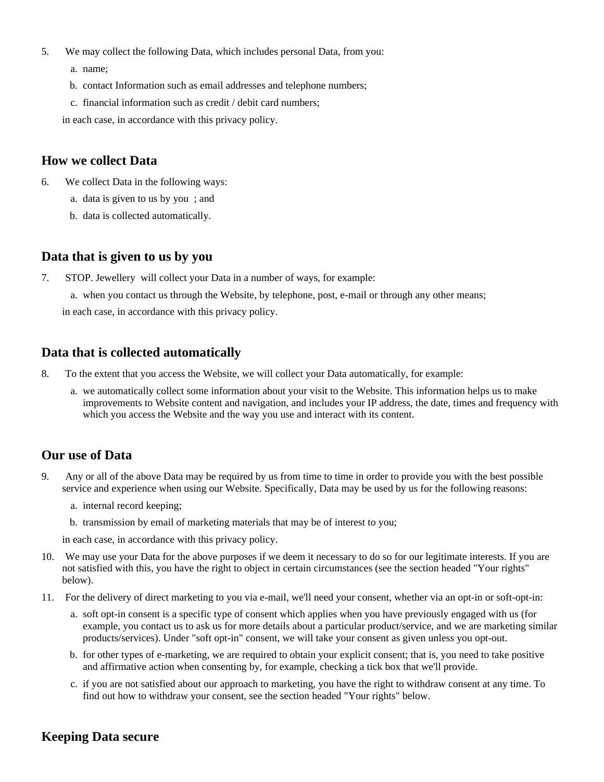- 5. We may collect the following Data, which includes personal Data, from you:
	- a. name;
	- b. contact Information such as email addresses and telephone numbers;
	- c. financial information such as credit / debit card numbers;

in each case, in accordance with this privacy policy.

#### **How we collect Data**

- 6. We collect Data in the following ways:
	- a. data is given to us by you ; and
	- b. data is collected automatically.

#### **Data that is given to us by you**

7. STOP. Jewellery will collect your Data in a number of ways, for example:

a. when you contact us through the Website, by telephone, post, e-mail or through any other means;

in each case, in accordance with this privacy policy.

#### **Data that is collected automatically**

- 8. To the extent that you access the Website, we will collect your Data automatically, for example:
	- a. we automatically collect some information about your visit to the Website. This information helps us to make improvements to Website content and navigation, and includes your IP address, the date, times and frequency with which you access the Website and the way you use and interact with its content.

## **Our use of Data**

- 9. Any or all of the above Data may be required by us from time to time in order to provide you with the best possible service and experience when using our Website. Specifically, Data may be used by us for the following reasons:
	- a. internal record keeping;
	- b. transmission by email of marketing materials that may be of interest to you;

in each case, in accordance with this privacy policy.

- 10. We may use your Data for the above purposes if we deem it necessary to do so for our legitimate interests. If you are not satisfied with this, you have the right to object in certain circumstances (see the section headed "Your rights" below).
- 11. For the delivery of direct marketing to you via e-mail, we'll need your consent, whether via an opt-in or soft-opt-in:
	- a. soft opt-in consent is a specific type of consent which applies when you have previously engaged with us (for example, you contact us to ask us for more details about a particular product/service, and we are marketing similar products/services). Under "soft opt-in" consent, we will take your consent as given unless you opt-out.
	- b. for other types of e-marketing, we are required to obtain your explicit consent; that is, you need to take positive and affirmative action when consenting by, for example, checking a tick box that we'll provide.
	- c. if you are not satisfied about our approach to marketing, you have the right to withdraw consent at any time. To find out how to withdraw your consent, see the section headed "Your rights" below.

## **Keeping Data secure**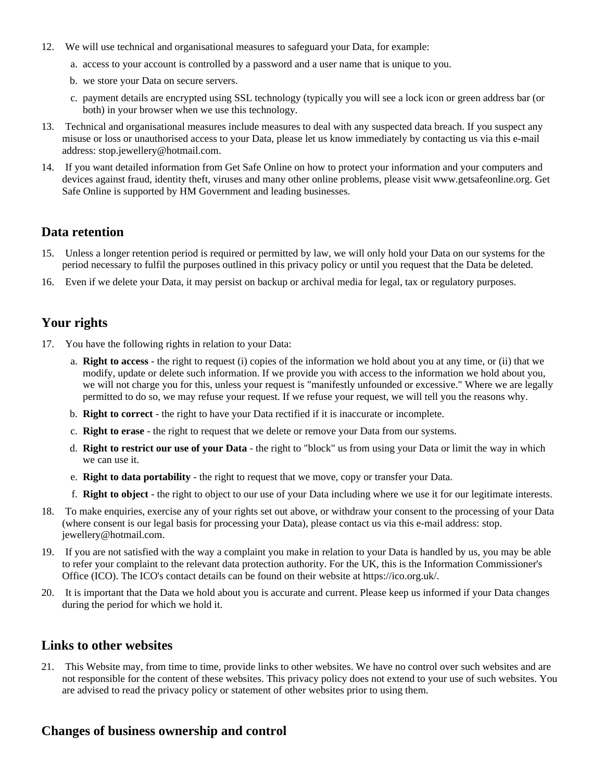- 12. We will use technical and organisational measures to safeguard your Data, for example:
	- a. access to your account is controlled by a password and a user name that is unique to you.
	- b. we store your Data on secure servers.
	- c. payment details are encrypted using SSL technology (typically you will see a lock icon or green address bar (or both) in your browser when we use this technology.
- 13. Technical and organisational measures include measures to deal with any suspected data breach. If you suspect any misuse or loss or unauthorised access to your Data, please let us know immediately by contacting us via this e-mail address: stop.jewellery@hotmail.com.
- 14. If you want detailed information from Get Safe Online on how to protect your information and your computers and devices against fraud, identity theft, viruses and many other online problems, please visit www.getsafeonline.org. Get Safe Online is supported by HM Government and leading businesses.

#### **Data retention**

- 15. Unless a longer retention period is required or permitted by law, we will only hold your Data on our systems for the period necessary to fulfil the purposes outlined in this privacy policy or until you request that the Data be deleted.
- 16. Even if we delete your Data, it may persist on backup or archival media for legal, tax or regulatory purposes.

#### **Your rights**

- 17. You have the following rights in relation to your Data:
	- a. **Right to access** the right to request (i) copies of the information we hold about you at any time, or (ii) that we modify, update or delete such information. If we provide you with access to the information we hold about you, we will not charge you for this, unless your request is "manifestly unfounded or excessive." Where we are legally permitted to do so, we may refuse your request. If we refuse your request, we will tell you the reasons why.
	- b. **Right to correct** the right to have your Data rectified if it is inaccurate or incomplete.
	- c. **Right to erase** the right to request that we delete or remove your Data from our systems.
	- d. **Right to restrict our use of your Data** the right to "block" us from using your Data or limit the way in which we can use it.
	- e. **Right to data portability** the right to request that we move, copy or transfer your Data.
	- f. **Right to object** the right to object to our use of your Data including where we use it for our legitimate interests.
- 18. To make enquiries, exercise any of your rights set out above, or withdraw your consent to the processing of your Data (where consent is our legal basis for processing your Data), please contact us via this e-mail address: stop. jewellery@hotmail.com.
- 19. If you are not satisfied with the way a complaint you make in relation to your Data is handled by us, you may be able to refer your complaint to the relevant data protection authority. For the UK, this is the Information Commissioner's Office (ICO). The ICO's contact details can be found on their website at https://ico.org.uk/.
- 20. It is important that the Data we hold about you is accurate and current. Please keep us informed if your Data changes during the period for which we hold it.

## **Links to other websites**

21. This Website may, from time to time, provide links to other websites. We have no control over such websites and are not responsible for the content of these websites. This privacy policy does not extend to your use of such websites. You are advised to read the privacy policy or statement of other websites prior to using them.

## **Changes of business ownership and control**